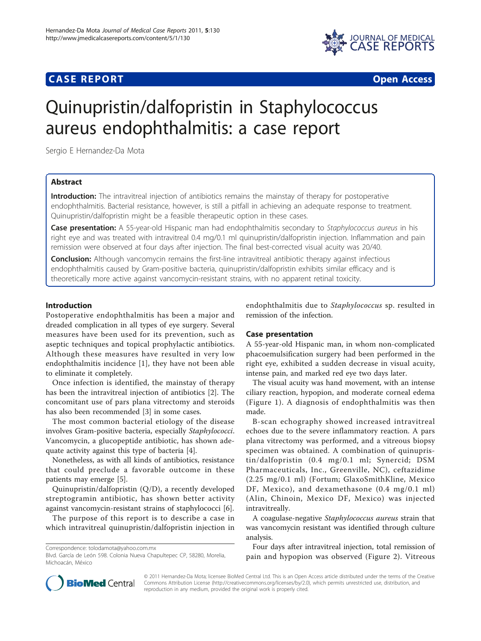## **CASE REPORT CASE REPORT CASE REPORT**



# Quinupristin/dalfopristin in Staphylococcus aureus endophthalmitis: a case report

Sergio E Hernandez-Da Mota

## Abstract

Introduction: The intravitreal injection of antibiotics remains the mainstay of therapy for postoperative endophthalmitis. Bacterial resistance, however, is still a pitfall in achieving an adequate response to treatment. Quinupristin/dalfopristin might be a feasible therapeutic option in these cases.

Case presentation: A 55-year-old Hispanic man had endophthalmitis secondary to Staphylococcus aureus in his right eye and was treated with intravitreal 0.4 mg/0.1 ml quinupristin/dalfopristin injection. Inflammation and pain remission were observed at four days after injection. The final best-corrected visual acuity was 20/40.

**Conclusion:** Although vancomycin remains the first-line intravitreal antibiotic therapy against infectious endophthalmitis caused by Gram-positive bacteria, quinupristin/dalfopristin exhibits similar efficacy and is theoretically more active against vancomycin-resistant strains, with no apparent retinal toxicity.

## Introduction

Postoperative endophthalmitis has been a major and dreaded complication in all types of eye surgery. Several measures have been used for its prevention, such as aseptic techniques and topical prophylactic antibiotics. Although these measures have resulted in very low endophthalmitis incidence [[1](#page-2-0)], they have not been able to eliminate it completely.

Once infection is identified, the mainstay of therapy has been the intravitreal injection of antibiotics [[2\]](#page-2-0). The concomitant use of pars plana vitrectomy and steroids has also been recommended [[3](#page-2-0)] in some cases.

The most common bacterial etiology of the disease involves Gram-positive bacteria, especially Staphylococci. Vancomycin, a glucopeptide antibiotic, has shown adequate activity against this type of bacteria [[4\]](#page-2-0).

Nonetheless, as with all kinds of antibiotics, resistance that could preclude a favorable outcome in these patients may emerge [\[5\]](#page-2-0).

Quinupristin/dalfopristin (Q/D), a recently developed streptogramin antibiotic, has shown better activity against vancomycin-resistant strains of staphylococci [[6\]](#page-2-0).

The purpose of this report is to describe a case in which intravitreal quinupristin/dalfopristin injection in

endophthalmitis due to Staphylococcus sp. resulted in remission of the infection.

#### Case presentation

A 55-year-old Hispanic man, in whom non-complicated phacoemulsification surgery had been performed in the right eye, exhibited a sudden decrease in visual acuity, intense pain, and marked red eye two days later.

The visual acuity was hand movement, with an intense ciliary reaction, hypopion, and moderate corneal edema (Figure [1](#page-1-0)). A diagnosis of endophthalmitis was then made.

B-scan echography showed increased intravitreal echoes due to the severe inflammatory reaction. A pars plana vitrectomy was performed, and a vitreous biopsy specimen was obtained. A combination of quinupristin/dalfopristin (0.4 mg/0.1 ml; Synercid; DSM Pharmaceuticals, Inc., Greenville, NC), ceftazidime (2.25 mg/0.1 ml) (Fortum; GlaxoSmithKline, Mexico DF, Mexico), and dexamethasone (0.4 mg/0.1 ml) (Alin, Chinoin, Mexico DF, Mexico) was injected intravitreally.

A coagulase-negative Staphylococcus aureus strain that was vancomycin resistant was identified through culture analysis.

Four days after intravitreal injection, total remission of pain and hypopion was observed (Figure [2](#page-1-0)). Vitreous



© 2011 Hernandez-Da Mota; licensee BioMed Central Ltd. This is an Open Access article distributed under the terms of the Creative Commons Attribution License [\(http://creativecommons.org/licenses/by/2.0](http://creativecommons.org/licenses/by/2.0)), which permits unrestricted use, distribution, and reproduction in any medium, provided the original work is properly cited.

Correspondence: [tolodamota@yahoo.com.mx](mailto:tolodamota@yahoo.com.mx)

Blvd. García de León 598. Colonia Nueva Chapultepec CP, 58280, Morelia, Michoacán, México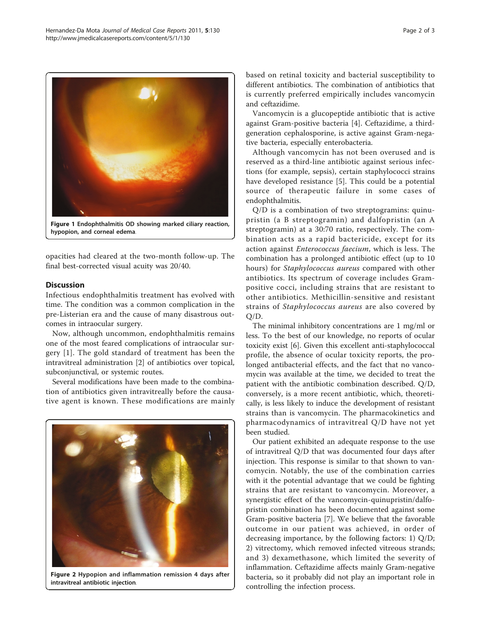<span id="page-1-0"></span>

hypopion, and corneal edema.

opacities had cleared at the two-month follow-up. The final best-corrected visual acuity was 20/40.

## Discussion

Infectious endophthalmitis treatment has evolved with time. The condition was a common complication in the pre-Listerian era and the cause of many disastrous outcomes in intraocular surgery.

Now, although uncommon, endophthalmitis remains one of the most feared complications of intraocular surgery [[1\]](#page-2-0). The gold standard of treatment has been the intravitreal administration [\[2\]](#page-2-0) of antibiotics over topical, subconjunctival, or systemic routes.

Several modifications have been made to the combination of antibiotics given intravitreally before the causative agent is known. These modifications are mainly



Figure 2 Hypopion and inflammation remission 4 days after intravitreal antibiotic injection.

based on retinal toxicity and bacterial susceptibility to different antibiotics. The combination of antibiotics that is currently preferred empirically includes vancomycin and ceftazidime.

Vancomycin is a glucopeptide antibiotic that is active against Gram-positive bacteria [\[4](#page-2-0)]. Ceftazidime, a thirdgeneration cephalosporine, is active against Gram-negative bacteria, especially enterobacteria.

Although vancomycin has not been overused and is reserved as a third-line antibiotic against serious infections (for example, sepsis), certain staphylococci strains have developed resistance [\[5](#page-2-0)]. This could be a potential source of therapeutic failure in some cases of endophthalmitis.

Q/D is a combination of two streptogramins: quinupristin (a B streptogramin) and dalfopristin (an A streptogramin) at a 30:70 ratio, respectively. The combination acts as a rapid bactericide, except for its action against Enterococcus faecium, which is less. The combination has a prolonged antibiotic effect (up to 10 hours) for Staphylococcus aureus compared with other antibiotics. Its spectrum of coverage includes Grampositive cocci, including strains that are resistant to other antibiotics. Methicillin-sensitive and resistant strains of Staphylococcus aureus are also covered by Q/D.

The minimal inhibitory concentrations are 1 mg/ml or less. To the best of our knowledge, no reports of ocular toxicity exist [[6\]](#page-2-0). Given this excellent anti-staphylococcal profile, the absence of ocular toxicity reports, the prolonged antibacterial effects, and the fact that no vancomycin was available at the time, we decided to treat the patient with the antibiotic combination described. Q/D, conversely, is a more recent antibiotic, which, theoretically, is less likely to induce the development of resistant strains than is vancomycin. The pharmacokinetics and pharmacodynamics of intravitreal Q/D have not yet been studied.

Our patient exhibited an adequate response to the use of intravitreal Q/D that was documented four days after injection. This response is similar to that shown to vancomycin. Notably, the use of the combination carries with it the potential advantage that we could be fighting strains that are resistant to vancomycin. Moreover, a synergistic effect of the vancomycin-quinupristin/dalfopristin combination has been documented against some Gram-positive bacteria [\[7](#page-2-0)]. We believe that the favorable outcome in our patient was achieved, in order of decreasing importance, by the following factors: 1) Q/D; 2) vitrectomy, which removed infected vitreous strands; and 3) dexamethasone, which limited the severity of inflammation. Ceftazidime affects mainly Gram-negative bacteria, so it probably did not play an important role in controlling the infection process.